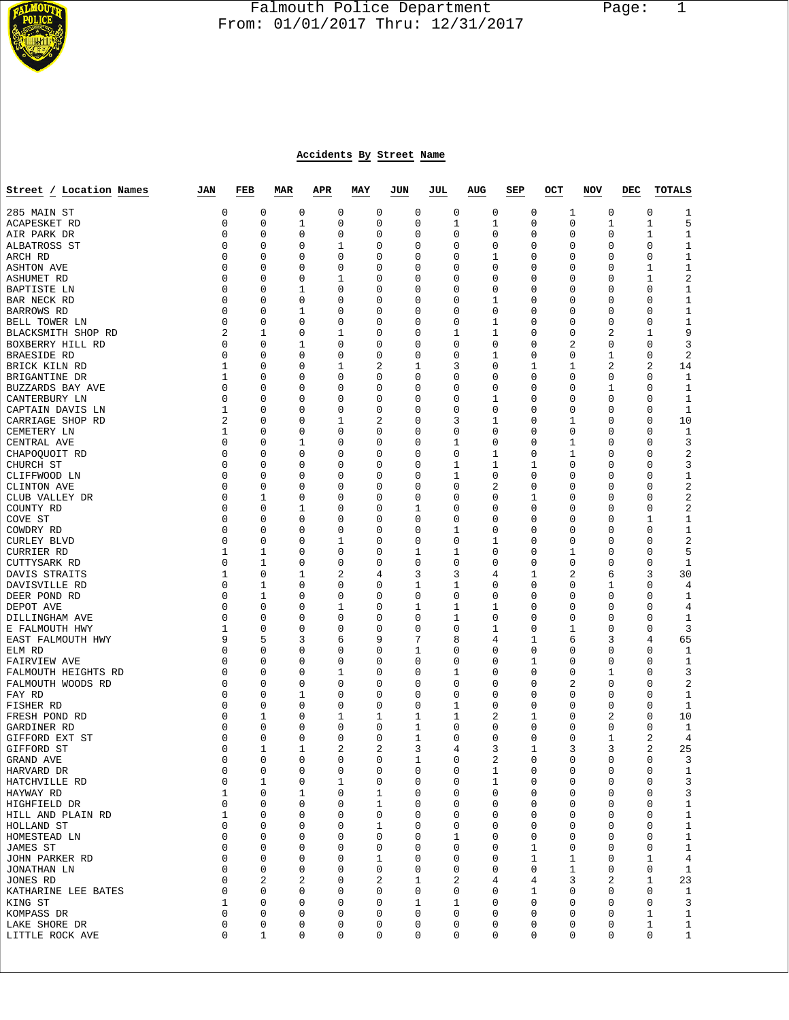

## Falmouth Police Department Page: 1  $\frac{1}{3}$  From: 01/01/2017 Thru: 12/31/2017

## **Accidents By Street Name**

| Street / Location Names                  | JAN            | FEB         | <b>MAR</b>  | <b>APR</b> | MAY    | JUN              | JUL | AUG    | SEP    | OCT         | NOV              | DEC | TOTALS              |
|------------------------------------------|----------------|-------------|-------------|------------|--------|------------------|-----|--------|--------|-------------|------------------|-----|---------------------|
| 285 MAIN ST                              | 0              | 0           | 0           | 0          | 0      | 0                |     | 0      | 0      | 0           | 0<br>1           |     | 0<br>1              |
| ACAPESKET RD                             | 0              | $\mathbf 0$ | 1           | 0          | 0      | $\mathbf 0$      |     | 1      | 1      | 0           | 0<br>1           |     | $\mathbf 1$<br>5    |
| AIR PARK DR                              | 0              | 0           | 0           | 0          | 0      | 0                |     | 0      | 0      | 0           | 0<br>0           |     | 1<br>1              |
| ALBATROSS ST                             | 0              | 0           | 0           | 1          | 0      | 0                |     | 0      | 0      | 0           | 0<br>0           |     | 0<br>1              |
| ARCH RD                                  | 0              | 0           | 0           | 0          | 0      | 0                |     | 0      | 1      | 0           | 0<br>0           |     | $\mathbf{1}$<br>0   |
| <b>ASHTON AVE</b>                        | 0              | 0           | 0           | 0          | 0      | $\mathbf 0$      |     | 0      | 0      | 0           | 0<br>0           |     | 1<br>1              |
| ASHUMET RD                               | 0              | 0           | 0           | 1          | 0      | 0                |     | 0      | 0      | 0           | 0<br>0           |     | $\sqrt{2}$<br>1     |
| BAPTISTE LN                              | 0              | 0           | 1           | 0          | 0      | $\mathbf 0$      |     | 0      | 0      | 0           | 0<br>0           |     | 0<br>1              |
| BAR NECK RD                              | 0              | 0           | 0           | 0          | 0      | 0                |     | 0      | 1      | 0           | 0<br>0           |     | 0<br>1              |
| <b>BARROWS RD</b>                        | 0              | 0           | 1           | 0          | 0      | 0                |     | 0      | 0      | 0           | 0<br>0           |     | 0<br>1              |
| BELL TOWER LN                            | 0              | 0           | 0           | 0          | 0      | $\mathbf 0$      |     | 0      | 1      | 0           | 0<br>0           |     | $\mathbf{1}$<br>0   |
| BLACKSMITH SHOP RD                       | 2              | 1           | 0           | 1          | 0      | $\mathbf 0$      |     | 1      | 1      | 0           | 0<br>2           |     | 1<br>9              |
| BOXBERRY HILL RD                         | 0              | 0           | 1           | 0          | 0      | 0                |     | 0      | 0      | 0           | 2<br>0           |     | 0<br>3              |
| BRAESIDE RD                              | 0              | 0           | 0           | 0          | 0      | $\mathbf 0$      |     | 0      | 1      | 0           | 1<br>0           |     | 2<br>0              |
| BRICK KILN RD                            | 1              | 0           | 0           | 1          | 2      | 1                |     | 3      | 0      | 1           | 1<br>2           |     | 2<br>14             |
| BRIGANTINE DR                            | 1              | 0           | 0           | 0          | 0      | 0                |     | 0      | 0      | 0           | 0<br>0           |     | 0<br>1              |
| BUZZARDS BAY AVE                         | 0              | 0           | 0           | 0          | 0      | $\mathbf 0$      |     | 0      | 0      | 0           | 1<br>0           |     | 0<br>1              |
| CANTERBURY LN                            | 0              | 0           | 0           | 0          | 0      | $\mathbf 0$      |     | 0      | 1      | 0           | 0<br>0           |     | 0<br>1              |
| CAPTAIN DAVIS LN                         | 1              | 0           | 0           | 0          | 0      | 0                |     | 0      | 0      | 0           | 0<br>0           |     | 0<br>1              |
| CARRIAGE SHOP RD                         | $\overline{2}$ | $\mathbf 0$ | 0           | 1          | 2      | $\mathbf 0$      |     | 3      | 1      | 0           | 0<br>1           |     | 0<br>10             |
| CEMETERY LN                              | 1              | 0           | 0           | 0          | 0      | $\mathbf 0$      |     | 0      | 0      | 0           | 0<br>0           |     | 0<br>1              |
| CENTRAL AVE                              | 0              | 0           | 1           | 0          | 0      | 0                |     | 1      | 0      | 0           | 1<br>0           |     | 0<br>3              |
| CHAPOQUOIT RD                            | 0              | 0           | 0           | 0          | 0      | $\mathbf 0$      |     | 0      | 1      | 0           | 1<br>0           |     | 0<br>2              |
| CHURCH ST                                | 0              | 0           | 0           | 0          | 0      | $\mathbf 0$      |     | 1      | 1      | 1           | 0<br>0           |     | 0<br>3              |
| CLIFFWOOD LN                             | 0              | 0           | 0           | 0          | 0      | 0                |     | 1      | 0      | 0           | 0<br>0           |     | 0<br>1              |
| CLINTON AVE                              | 0              | 0           | 0           | 0          | 0      | $\mathbf 0$      |     | 0      | 2      | 0           | 0<br>0           |     | 2<br>0              |
| CLUB VALLEY DR                           | 0              | 1           | 0           | 0          | 0      | 0                |     | 0      | 0      | 1           | 0<br>0           |     | 0<br>2              |
| COUNTY RD                                | 0              | 0           | 1           | 0          | 0      | 1                |     | 0      | 0      | 0           | 0<br>0           |     | 2<br>0              |
| COVE ST                                  | 0              | 0           | 0           | 0          | 0      | $\mathbf 0$      |     | 0      | 0      | 0           | 0<br>0           |     | 1<br>1              |
| COWDRY RD                                | 0              | 0           | $\mathbf 0$ | 0          | 0      | 0                |     | 1      | 0      | 0           | 0<br>0           |     | 0<br>1              |
| <b>CURLEY BLVD</b>                       | 0              | 0           | 0           | 1          | 0      | 0                |     | 0      | 1      | 0           | 0<br>0           |     | $\sqrt{2}$<br>0     |
| CURRIER RD                               | 1              | 1           | 0           | 0          | 0      | 1                |     | 1      | 0      | 0           | 1<br>0           |     | $\mathbf 0$<br>5    |
| CUTTYSARK RD                             | 0              | 1           | 0           | 0          | 0      | $\mathbf 0$      |     | 0      | 0      | 0           | 0<br>0           |     | 0<br>1              |
| DAVIS STRAITS                            | 1              | 0           | 1           | 2          | 4      | 3                |     | 3      | 4      | 1           | 2<br>6           |     | 3<br>30             |
| DAVISVILLE RD                            | 0              | 1           | 0           | 0          | 0      | 1                |     | 1      | 0      | 0           | 1<br>0           |     | 0<br>$\overline{4}$ |
| DEER POND RD                             | 0              | 1           | 0           | 0          | 0      | 0                |     | 0      | 0      | 0           | 0<br>0           |     | 0<br>1              |
| DEPOT AVE                                | 0              | 0           | 0           | 1          | 0      | 1                |     | 1      | 1      | 0           | 0<br>0           |     | 0<br>4              |
| DILLINGHAM AVE                           | 0              | 0           | 0           | 0          | 0      | 0                |     | 1      | 0      | 0           | 0<br>0           |     | 0<br>1              |
| E FALMOUTH HWY                           | 1              | 0           | 0           | 0          | 0      | $\mathbf 0$      |     | 0      | 1      | 0           | 1<br>0           |     | 0<br>3              |
| EAST FALMOUTH HWY                        | 9              | 5           | 3           | 6          | 9      | 7                |     | 8      | 4      | 1           | 3<br>6           |     | 4<br>65             |
| ELM RD                                   | 0              | 0           | 0           | 0          | 0      | 1                |     | 0      | 0      | 0           | 0<br>0           |     | 0<br>1              |
| FAIRVIEW AVE                             | 0              | 0<br>0      | 0           | 0          | 0      | 0                |     | 0      | 0      | 1<br>0      | 0<br>0           |     | 0<br>1<br>0         |
| FALMOUTH HEIGHTS RD<br>FALMOUTH WOODS RD | 0<br>0         | $\mathbf 0$ | 0<br>0      | 1<br>0     | 0<br>0 | 0<br>$\mathbf 0$ |     | 1<br>0 | 0<br>0 | 0           | 1<br>0<br>2<br>0 |     | 3<br>0<br>2         |
| FAY RD                                   | 0              | 0           | 1           | 0          | 0      | 0                |     | 0      | 0      | 0           | 0<br>0           |     | 0<br>1              |
| FISHER RD                                | 0              | 0           | 0           | 0          | 0      | 0                |     | 1      | 0      | 0           | 0<br>0           |     | 0<br>1              |
| FRESH POND RD                            | 0              | 1           | 0           | 1          | 1      | 1                |     | 1      | 2      | 1           | 2<br>0           |     | 0<br>10             |
| GARDINER RD                              | 0              | 0           | 0           | 0          | 0      | 1                |     | 0      | 0      | 0           | 0<br>0           |     | 1<br>0              |
| GIFFORD EXT ST                           | 0              | 0           | 0           | 0          | 0      | 1                |     | 0      | 0      | 0           | 1<br>0           |     | 2<br>4              |
| GIFFORD ST                               | 0              | 1           | 1           | 2          | 2      | 3                |     | 4      | 3      | 1           | 3<br>3           |     | 2<br>25             |
| GRAND AVE                                | 0              | 0           | 0           | 0          | 0      | 1                |     | 0      | 2      | $\mathbf 0$ | 0<br>0           |     | 3<br>0              |
| HARVARD DR                               | 0              | 0           | 0           | 0          | 0      | 0                |     | 0      | 1      | 0           | 0<br>0           |     | 0<br>$\mathbf{1}$   |
| HATCHVILLE RD                            | 0              | 1           | 0           | 1          | 0      | 0                |     | 0      | 1      | 0           | 0<br>0           |     | 0<br>3              |
| HAYWAY RD                                | 1              | 0           | 1           | 0          | 1      | 0                |     | 0      | 0      | 0           | 0<br>0           |     | 3<br>0              |
| HIGHFIELD DR                             | 0              | 0           | 0           | 0          | 1      | 0                |     | 0      | 0      | 0           | 0<br>0           |     | $\mathbf{1}$<br>0   |
| HILL AND PLAIN RD                        | 1              | 0           | 0           | 0          | 0      | 0                |     | 0      | 0      | 0           | 0<br>0           |     | $1\,$<br>0          |
| HOLLAND ST                               | 0              | 0           | 0           | 0          | 1      | 0                |     | 0      | 0      | 0           | 0<br>0           |     | $1\,$<br>0          |
| HOMESTEAD LN                             | 0              | 0           | 0           | 0          | 0      | 0                |     | 1      | 0      | 0           | 0<br>0           |     | 0<br>1              |
| JAMES ST                                 | 0              | 0           | 0           | 0          | 0      | $\mathbf 0$      |     | 0      | 0      | 1           | 0<br>0           |     | 0<br>1              |
| JOHN PARKER RD                           | 0              | 0           | 0           | 0          | 1      | $\mathbf 0$      |     | 0      | 0      | 1           | 1<br>0           |     | 1<br>4              |
| JONATHAN LN                              | 0              | 0           | 0           | 0          | 0      | 0                |     | 0      | 0      | 0           | 1<br>0           |     | 0<br>1              |
| JONES RD                                 | 0              | 2           | 2           | 0          | 2      | 1                |     | 2      | 4      | 4           | 2<br>3           |     | 23<br>1             |
| KATHARINE LEE BATES                      | 0              | 0           | 0           | 0          | 0      | 0                |     | 0      | 0      | 1           | 0<br>0           |     | 0<br>$\mathbf{1}$   |
| KING ST                                  | 1              | 0           | 0           | 0          | 0      | 1                |     | 1      | 0      | 0           | 0<br>0           |     | 0<br>3              |
| KOMPASS DR                               | 0              | 0           | 0           | 0          | 0      | 0                |     | 0      | 0      | 0           | 0<br>0           |     | 1<br>1              |
| LAKE SHORE DR                            | 0              | 0           | 0           | 0          | 0      | 0                |     | 0      | 0      | 0           | 0<br>0           |     | 1<br>$\mathbf 1$    |
| LITTLE ROCK AVE                          | 0              | $\mathbf 1$ | 0           | 0          | 0      | 0                |     | 0      | 0      | 0           | 0<br>0           |     | 0<br>$\mathbf{1}$   |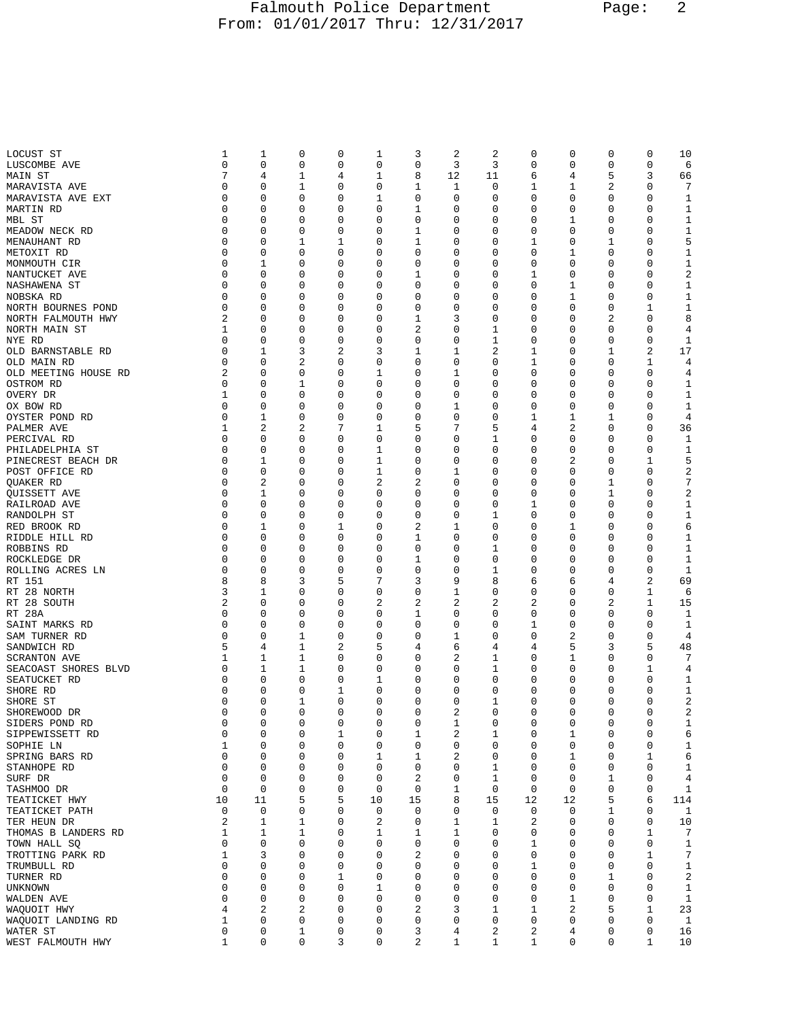## Falmouth Police Department Page: 2 From: 01/01/2017 Thru: 12/31/2017

| LOCUST ST            | 1              | 1              | 0            | 0           | 1           | 3              | 2  | 2           | 0              | 0        | 0           | 0            | 10                      |
|----------------------|----------------|----------------|--------------|-------------|-------------|----------------|----|-------------|----------------|----------|-------------|--------------|-------------------------|
| LUSCOMBE AVE         | $\mathbf 0$    | $\mathbf 0$    | 0            | $\mathbf 0$ | 0           | $\mathbf 0$    | 3  | 3           | 0              | 0        | 0           | 0            | 6                       |
| MAIN ST              | 7              | 4              | 1            | 4           | 1           | 8              | 12 | 11          | 6              | 4        | 5           | 3            | 66                      |
| MARAVISTA AVE        | 0              | 0              | 1            | 0           | 0           | 1              | 1  | 0           | 1              | 1        | 2           | 0            | 7                       |
| MARAVISTA AVE EXT    | 0              | 0              | 0            | 0           | 1           | 0              | 0  | 0           | 0              | 0        | 0           | 0            | 1                       |
| MARTIN RD            | 0              | $\mathbf 0$    | 0            | 0           | 0           | $\mathbf{1}$   | 0  | 0           | 0              | 0        | 0           | 0            | 1                       |
| MBL ST               | 0              | 0              | 0            | 0           | 0           | 0              | 0  | 0           | 0              | 1        | 0           | 0            | $\mathbf{1}$            |
|                      | 0              | 0              |              | 0           |             |                |    | 0           | 0              |          | 0           | 0            |                         |
| MEADOW NECK RD       |                |                | 0            |             | 0           | 1              | 0  |             |                | 0        |             |              | $\mathbf{1}$            |
| MENAUHANT RD         | 0              | 0              | 1            | 1           | 0           | $\mathbf 1$    | 0  | 0           | 1              | 0        | 1           | 0            | 5                       |
| METOXIT RD           | 0              | 0              | 0            | 0           | 0           | 0              | 0  | 0           | 0              | 1        | 0           | 0            | 1                       |
| MONMOUTH CIR         | 0              | 1              | 0            | 0           | 0           | $\mathbf 0$    | 0  | 0           | 0              | 0        | 0           | 0            | $1\,$                   |
| NANTUCKET AVE        | $\mathbf 0$    | 0              | 0            | 0           | 0           | $\mathbf 1$    | 0  | 0           | 1              | 0        | 0           | 0            | $\sqrt{2}$              |
| NASHAWENA ST         | 0              | 0              | 0            | 0           | 0           | 0              | 0  | 0           | 0              | 1        | 0           | 0            | 1                       |
| NOBSKA RD            | $\Omega$       | 0              | 0            | 0           | 0           | 0              | 0  | 0           | 0              | 1        | 0           | 0            | $\mathbf{1}$            |
| NORTH BOURNES POND   | 0              | 0              | 0            | 0           | 0           | 0              | 0  | 0           | 0              | 0        | 0           | 1            | $\mathbf{1}$            |
| NORTH FALMOUTH HWY   | 2              | 0              | 0            | 0           | 0           | 1              | 3  | 0           | 0              | 0        | 2           | 0            | 8                       |
|                      |                |                |              |             |             |                |    |             |                |          |             |              |                         |
| NORTH MAIN ST        | 1              | 0              | 0            | 0           | 0           | $\overline{2}$ | 0  | 1           | 0              | 0        | 0           | 0            | 4                       |
| NYE RD               | 0              | $\mathbf 0$    | 0            | $\mathbf 0$ | 0           | $\mathbf 0$    | 0  | 1           | 0              | 0        | 0           | $\mathbf 0$  | 1                       |
| OLD BARNSTABLE RD    | 0              | 1              | 3            | 2           | 3           | 1              | 1  | 2           | 1              | 0        | 1           | 2            | 17                      |
| OLD MAIN RD          | $\Omega$       | 0              | 2            | 0           | 0           | $\mathbf 0$    | 0  | 0           | 1              | 0        | 0           | 1            | 4                       |
| OLD MEETING HOUSE RD | 2              | 0              | 0            | 0           | 1           | $\mathbf 0$    | 1  | 0           | 0              | 0        | 0           | 0            | 4                       |
| OSTROM RD            | 0              | 0              | 1            | 0           | 0           | 0              | 0  | 0           | 0              | 0        | 0           | 0            | 1                       |
| OVERY DR             | 1              | 0              | 0            | 0           | 0           | 0              | 0  | 0           | 0              | 0        | 0           | 0            | 1                       |
| OX BOW RD            | $\mathbf 0$    | $\mathbf 0$    | 0            | 0           | 0           | 0              | 1  | 0           | 0              | 0        | 0           | 0            | $\mathbf{1}$            |
|                      | 0              |                |              | 0           |             |                | 0  | 0           |                |          |             | 0            | 4                       |
| OYSTER POND RD       |                | 1              | 0            |             | 0           | 0              |    |             | 1              | 1        | 1           |              |                         |
| PALMER AVE           | 1              | $\overline{a}$ | 2            | 7           | 1           | 5              | 7  | 5           | 4              | 2        | 0           | 0            | 36                      |
| PERCIVAL RD          | $\mathbf 0$    | 0              | 0            | 0           | 0           | $\mathbf 0$    | 0  | $\mathbf 1$ | 0              | 0        | 0           | 0            | 1                       |
| PHILADELPHIA ST      | 0              | 0              | 0            | 0           | 1           | 0              | 0  | 0           | 0              | 0        | 0           | 0            | 1                       |
| PINECREST BEACH DR   | 0              | 1              | 0            | 0           | 1           | 0              | 0  | 0           | 0              | 2        | 0           | 1            | 5                       |
| POST OFFICE RD       | 0              | $\mathbf 0$    | 0            | 0           | 1           | 0              | 1  | 0           | 0              | 0        | 0           | 0            | 2                       |
| QUAKER RD            | 0              | 2              | 0            | 0           | 2           | 2              | 0  | 0           | 0              | 0        | 1           | 0            | 7                       |
| <b>OUISSETT AVE</b>  | 0              | 1              | 0            | 0           | 0           | $\mathbf 0$    | 0  | 0           | 0              | 0        | 1           | 0            | $\overline{\mathbf{c}}$ |
| RAILROAD AVE         | $\mathbf 0$    | $\mathbf 0$    | 0            | 0           | 0           | $\mathbf 0$    | 0  | 0           | 1              | 0        | 0           | 0            | $\mathbf{1}$            |
|                      | 0              | 0              |              | 0           | 0           | 0              | 0  | 1           | 0              |          | 0           |              | $\mathbf{1}$            |
| RANDOLPH ST          |                |                | 0            |             |             |                |    |             |                | 0        |             | 0            |                         |
| RED BROOK RD         | 0              | 1              | 0            | 1           | 0           | $\sqrt{2}$     | 1  | 0           | 0              | 1        | 0           | 0            | 6                       |
| RIDDLE HILL RD       | $\mathbf 0$    | 0              | 0            | 0           | 0           | $\mathbf 1$    | 0  | 0           | 0              | 0        | 0           | 0            | 1                       |
| ROBBINS RD           | 0              | 0              | 0            | 0           | 0           | 0              | 0  | 1           | 0              | 0        | 0           | 0            | 1                       |
| ROCKLEDGE DR         | $\mathbf 0$    | 0              | 0            | 0           | 0           | 1              | 0  | 0           | 0              | 0        | 0           | 0            | $\mathbf{1}$            |
| ROLLING ACRES LN     | 0              | 0              | 0            | 0           | 0           | $\mathbf 0$    | 0  | 1           | 0              | 0        | 0           | 0            | $\mathbf{1}$            |
| RT 151               | 8              | 8              | 3            | 5           | 7           | 3              | 9  | 8           | 6              | 6        | 4           | 2            | 69                      |
| RT 28 NORTH          | 3              | 1              | 0            | 0           | 0           | 0              | 1  | 0           | 0              | 0        | 0           | 1            | 6                       |
| RT 28 SOUTH          | $\overline{2}$ | 0              | 0            | 0           | 2           | $\sqrt{2}$     | 2  | 2           | $\overline{2}$ | 0        | 2           | $\mathbf 1$  | 15                      |
| RT 28A               | 0              | 0              | 0            | 0           | 0           | 1              | 0  | 0           | 0              | 0        | 0           | 0            | 1                       |
|                      |                |                |              |             |             |                |    |             |                |          |             |              |                         |
| SAINT MARKS RD       | 0              | 0              | 0            | 0           | 0           | 0              | 0  | 0           | 1              | 0        | 0           | 0            | 1                       |
| SAM TURNER RD        | $\mathbf 0$    | 0              | 1            | 0           | $\mathbf 0$ | $\mathbf 0$    | 1  | 0           | 0              | 2        | 0           | $\mathbf 0$  | $\overline{4}$          |
| SANDWICH RD          | 5              | 4              | 1            | 2           | 5           | 4              | 6  | 4           | 4              | 5        | 3           | 5            | 48                      |
| <b>SCRANTON AVE</b>  | 1              | 1              | 1            | 0           | 0           | 0              | 2  | 1           | 0              | 1        | 0           | 0            | 7                       |
| SEACOAST SHORES BLVD | $\mathbf 0$    | 1              | 1            | 0           | 0           | $\mathbf 0$    | 0  | 1           | 0              | 0        | 0           | 1            | 4                       |
| SEATUCKET RD         | 0              | 0              | 0            | 0           | 1           | 0              | 0  | 0           | 0              | 0        | 0           | 0            | 1                       |
| SHORE RD             | 0              | 0              | 0            | 1           | 0           | 0              | 0  | 0           | 0              | 0        | 0           | 0            | 1                       |
| SHORE ST             | 0              | 0              | 1            | 0           | 0           | $\mathbf 0$    | 0  | 1           | 0              | 0        | $\mathbf 0$ | 0            | $\sqrt{2}$              |
| SHOREWOOD DR         | 0              | 0              | 0            | 0           | 0           | 0              | 2  | 0           | 0              | 0        | 0           | 0            | 2                       |
|                      |                |                |              |             |             |                |    |             |                |          |             |              |                         |
| SIDERS POND RD       | 0              | 0              | 0            | 0           | 0           | 0              | T  | 0           | 0              | 0        | 0           | 0            | 1                       |
| SIPPEWISSETT RD      | $\mathsf 0$    | $\mathbf 0$    | 0            | $\mathbf 1$ | 0           | $1\,$          | 2  | 1           | 0              | 1        | 0           | $\mathsf 0$  | 6                       |
| SOPHIE LN            | 1              | 0              | 0            | 0           | 0           | 0              | 0  | 0           | 0              | 0        | 0           | 0            | $\mathbf{1}$            |
| SPRING BARS RD       | $\mathbf 0$    | $\mathbf 0$    | 0            | $\mathbf 0$ | 1           | 1              | 2  | 0           | 0              | 1        | 0           | 1            | 6                       |
| STANHOPE RD          | $\mathbf 0$    | $\mathbf 0$    | 0            | $\mathbf 0$ | 0           | $\mathbf 0$    | 0  | 1           | 0              | 0        | 0           | $\mathbf 0$  | $1\,$                   |
| SURF DR              | 0              | 0              | 0            | 0           | 0           | 2              | 0  | 1           | 0              | 0        | 1           | 0            | 4                       |
| TASHMOO DR           | $\mathbf 0$    | $\mathbf 0$    | 0            | 0           | 0           | $\mathbf 0$    | 1  | 0           | 0              | 0        | 0           | 0            | 1                       |
| TEATICKET HWY        | 10             | 11             | 5            | 5           | 10          | 15             | 8  | 15          | 12             | 12       | 5           | 6            | 114                     |
| TEATICKET PATH       | 0              | 0              | 0            | 0           | 0           | 0              | 0  | 0           | 0              | 0        | 1           | 0            | $\mathbf{1}$            |
|                      |                |                |              | 0           |             | 0              |    |             |                |          | 0           | 0            |                         |
| TER HEUN DR          | $\sqrt{2}$     | 1              | $\mathbf 1$  |             | 2           |                | 1  | 1           | $\sqrt{2}$     | 0        |             |              | 10                      |
| THOMAS B LANDERS RD  | 1              | 1              | $\mathbf{1}$ | 0           | 1           | $\mathbf 1$    | 1  | 0           | 0              | 0        | 0           | $\mathbf{1}$ | $7\phantom{.0}$         |
| TOWN HALL SQ         | 0              | $\mathsf 0$    | 0            | 0           | 0           | 0              | 0  | 0           | 1              | 0        | 0           | 0            | 1                       |
| TROTTING PARK RD     | 1              | 3              | 0            | 0           | 0           | $\overline{c}$ | 0  | 0           | 0              | 0        | 0           | 1            | 7                       |
| TRUMBULL RD          | $\mathbf 0$    | $\mathbf 0$    | 0            | $\mathbf 0$ | 0           | $\mathbf 0$    | 0  | 0           | 1              | 0        | 0           | $\mathbf 0$  | $\mathbf{1}$            |
| TURNER RD            | 0              | 0              | 0            | 1           | 0           | 0              | 0  | 0           | 0              | 0        | 1           | 0            | $\overline{c}$          |
| <b>UNKNOWN</b>       | $\mathbf 0$    | $\mathbf 0$    | 0            | $\mathbf 0$ | 1           | $\mathbf 0$    | 0  | 0           | 0              | $\Omega$ | 0           | 0            | $\mathbf{1}$            |
| WALDEN AVE           | $\mathbf 0$    | $\mathbf 0$    | 0            | 0           | 0           | $\mathbf 0$    | 0  | 0           | 0              | 1        | 0           | $\mathbf 0$  | $\mathbf{1}$            |
| WAQUOIT HWY          | 4              | 2              | 2            | 0           | 0           | 2              | 3  | 1           | 1              | 2        | 5           | 1            | 23                      |
|                      |                |                |              |             |             |                |    |             |                |          |             |              |                         |
| WAQUOIT LANDING RD   | 1              | $\mathsf 0$    | $\mathbf 0$  | 0           | 0           | 0              | 0  | 0           | 0              | 0        | 0           | 0            | $\mathbf{1}$            |
| WATER ST             | $\mathbf 0$    | 0              | $\mathbf{1}$ | 0           | 0           | 3              | 4  | 2           | 2              | 4        | 0           | 0            | 16                      |
| WEST FALMOUTH HWY    | 1              | 0              | 0            | 3           | 0           | 2              | 1  | 1           | 1              | 0        | 0           | 1            | 10                      |